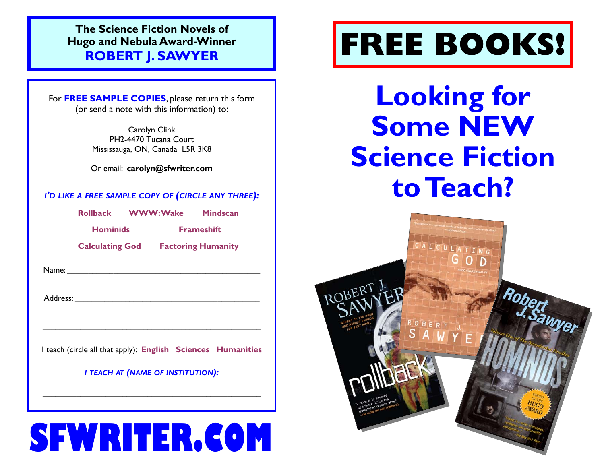**The Science Fiction Novels of Hugo and Nebula Award-Winner ROBERT J. SAWYER**

For **FREE SAMPLE COPIES**, please return this form (or send a note with this information) to:

> Carolyn Clink PH2-4470 Tucana Court Mississauga, ON, Canada L5R 3K8

Or email: **carolyn@sfwriter.com** 

### *I'D LIKE A FREE SAMPLE COPY OF (CIRCLE ANY THREE):*

**Rollback WWW: Wake Mindscan**

**Hominids Frameshift** 

 **Calculating God Factoring Humanity** 

 $Name:$ 

Address: \_\_\_\_\_\_\_\_\_\_\_\_\_\_\_\_\_\_\_\_\_\_\_\_\_\_\_\_\_\_\_\_\_\_\_\_\_\_\_\_\_\_\_\_

I teach (circle all that apply): **English Sciences Humanities**

 $\overline{\phantom{a}}$  , and the contribution of the contribution of the contribution of the contribution of the contribution of the contribution of the contribution of the contribution of the contribution of the contribution of the

*I TEACH AT (NAME OF INSTITUTION):* 

\_\_\_\_\_\_\_\_\_\_\_\_\_\_\_\_\_\_\_\_\_\_\_\_\_\_\_\_\_\_\_\_\_\_\_\_\_\_\_\_\_\_\_\_\_\_\_\_\_\_\_\_

# **SFWRITER.COM**

# **FREE BOOKS!**

**Looking for Some NEW Science Fiction to Teach?** 

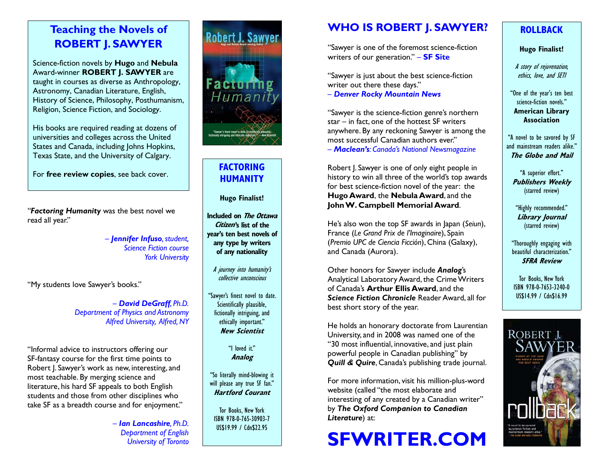# **Teaching the Novels of ROBERT J. SAWYER**

Science-fiction novels by **Hugo** and **Nebula**  Award-winner **ROBERT J. SAWYER** are taught in courses as diverse as Anthropology, Astronomy, Canadian Literature, English, History of Science, Philosophy, Posthumanism, Religion, Science Fiction, and Sociology.

His books are required reading at dozens of universities and colleges across the United States and Canada, including Johns Hopkins, Texas State, and the University of Calgary.

For **free review copies**, see back cover.

*"Factoring Humanity* was the best novel we read all year."

> *— Jennifer Infuso, student, Science Fiction course York University*

"My students love Sawyer's books."

*— David DeGraff, Ph.D. Department of Physics and Astronomy Alfred University, Alfred, NY* 

"Informal advice to instructors offering our SF-fantasy course for the first time points to Robert J. Sawyer's work as new, interesting, and most teachable. By merging science and literature, his hard SF appeals to both English students and those from other disciplines who take SF as a breadth course and for enjoyment."

> *— Ian Lancashire, Ph.D. Department of English University of Toronto*



# **FACTORING HUMANITY**

**Hugo Finalist!** 

- **Included on The Ottawa Citizen's list of the year's ten best novels of any type by writers of any nationality** 
	- A journey into humanity's collective unconscious

"Sawyer's finest novel to date. Scientifically plausible, fictionally intriguing, and ethically important." **New Scientist**

> "I loved it." **Analog**

"So literally mind-blowing it will please any true SF fan." **Hartford Courant** 

Tor Books, New York ISBN 978-0-765-30903-7 US\$19.99 / Cdn\$22.95

# **WHO IS ROBERT J. SAWYER?**

"Sawyer is one of the foremost science-fiction writers of our generation." *—* **SF Site**

"Sawyer is just about the best science-fiction writer out there these days."

*— Denver Rocky Mountain News*

"Sawyer is the science-fiction genre's northern star *—* in fact, one of the hottest SF writers anywhere. By any reckoning Sawyer is among the most successful Canadian authors ever." *— Maclean's: Canada's National Newsmagazine*

Robert J. Sawyer is one of only eight people in history to win all three of the world's top awards for best science-fiction novel of the year: the **Hugo Award**, the **Nebula Award**, and the **John W. Campbell Memorial Award**.

He's also won the top SF awards in Japan (*Seiun*), France (*Le Grand Prix de l'Imaginaire*), Spain (*Premio UPC de Ciencia Ficción*), China (Galaxy), and Canada (Aurora).

Other honors for Sawyer include *Analog*'s Analytical Laboratory Award, the Crime Writers of Canada's **Arthur Ellis Award**, and the *Science Fiction Chronicle* Reader Award, all for best short story of the year.

He holds an honorary doctorate from Laurentian University, and in 2008 was named one of the "30 most influential, innovative, and just plain powerful people in Canadian publishing" by *Quill & Quire*, Canada's publishing trade journal.

For more information, visit his million-plus-word website (called "the most elaborate and interesting of any created by a Canadian writer" by *The Oxford Companion to Canadian Literature*) at:

# **SFWRITER.COM**

# **ROLLBACK**

#### **Hugo Finalist!**

A story of rejuvenation, ethics, love, and SETI

"One of the year's ten best science-fiction novels." **American Library** 

**Association** 

"A novel to be savored by SF and mainstream readers alike." **The Globe and Mail** 

"A superior effort." **Publishers Weekly** (starred review)

"Highly recommended." **Library Journal**  (starred review)

"Thoroughly engaging with beautiful characterization." **SFRA Review** 

Tor Books, New York ISBN 978-0-7653-3240-0 US\$14.99 / Cdn\$16.99

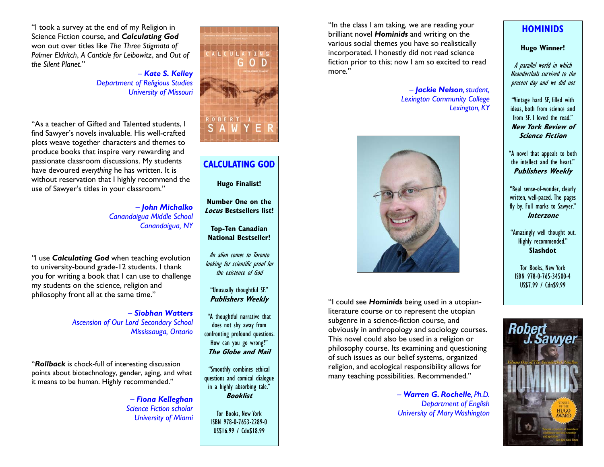"I took a survey at the end of my Religion in Science Fiction course, and *Calculating God* won out over titles like *The Three Stigmata of Palmer Eldritch*, *A Canticle for Leibowitz*, and *Out of the Silent Planet*."

> *— Kate S. Kelley Department of Religious Studies University of Missouri*

"As a teacher of Gifted and Talented students, I find Sawyer's novels invaluable. His well-crafted plots weave together characters and themes to produce books that inspire very rewarding and passionate classroom discussions. My students have devoured *everything* he has written. It is without reservation that I highly recommend the use of Sawyer's titles in your classroom."

> *— John Michalko Canandaigua Middle School Canandaigua, NY*

*"*I use *Calculating God* when teaching evolution to university-bound grade-12 students. I thank you for writing a book that I can use to challenge my students on the science, religion and philosophy front all at the same time."

> *— Siobhan WattersAscension of Our Lord Secondary School Mississauga, Ontario*

"*Rollback* is chock-full of interesting discussion points about biotechnology, gender, aging, and what it means to be human. Highly recommended."

> *— Fiona Kelleghan Science Fiction scholar University of Miami*



# **CALCULATING GOD**

**Hugo Finalist!** 

**Number One on the Locus Bestsellers list!** 

**Top-Ten Canadian National Bestseller!** 

An alien comes to Toronto looking for scientific proof for the existence of God

#### "Unusually thoughtful SF." **Publishers Weekly**

"A thoughtful narrative that does not shy away from confronting profound questions. How can you go wrong?" **The Globe and Mail** 

"Smoothly combines ethical questions and comical dialogue in a highly absorbing tale." **Booklist**

Tor Books, New York ISBN 978-0-7653-2289-0 US\$16.99 / Cdn\$18.99

"In the class I am taking, we are reading your brilliant novel *Hominids* and writing on the various social themes you have so realistically incorporated. I honestly did not read science fiction prior to this; now I am so excited to read more."

> *— Jackie Nelson, student, Lexington Community College Lexington, KY*



"I could see *Hominids* being used in a utopianliterature course or to represent the utopian subgenre in a science-fiction course, and obviously in anthropology and sociology courses. This novel could also be used in a religion or philosophy course. Its examining and questioning of such issues as our belief systems, organized religion, and ecological responsibility allows for many teaching possibilities. Recommended."

> *— Warren G. Rochelle, Ph.D. Department of English University of Mary Washington*

### **HOMINIDS**

#### **Hugo Winner!**

A parallel world in which Neanderthals survived to the present day and we did not

"Vintage hard SF, filled with ideas, both from science and from SF. I loved the read." **New York Review of Science Fiction** 

"A novel that appeals to both the intellect and the heart." **Publishers Weekly** 

"Real sense-of-wonder, clearly written, well-paced. The pages fly by. Full marks to Sawyer." **Interzone** 

"Amazingly well thought out. Highly recommended." **Slashdot**

Tor Books, New York ISBN 978-0-765-34500-4 US\$7.99 / Cdn\$9.99